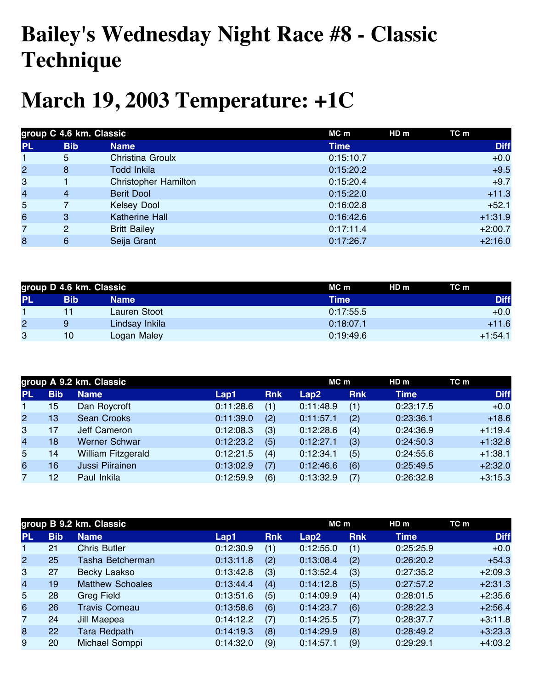## **Bailey's Wednesday Night Race #8 - Classic Technique**

## **March 19, 2003 Temperature: +1C**

| group C 4.6 km. Classic |                |                             | MC m<br>HD m | TC m        |  |
|-------------------------|----------------|-----------------------------|--------------|-------------|--|
| <b>PL</b>               | <b>Bib</b>     | <b>Name</b>                 | <b>Time</b>  | <b>Diff</b> |  |
| $\mathbf{1}$            | 5              | Christina Groulx            | 0:15:10.7    | $+0.0$      |  |
| $\overline{2}$          | 8              | Todd Inkila                 | 0:15:20.2    | $+9.5$      |  |
| 3                       |                | <b>Christopher Hamilton</b> | 0:15:20.4    | $+9.7$      |  |
| $\overline{\mathbf{4}}$ | $\overline{4}$ | <b>Berit Dool</b>           | 0:15:22.0    | $+11.3$     |  |
| 5                       |                | <b>Kelsey Dool</b>          | 0:16:02.8    | $+52.1$     |  |
| $6\phantom{a}$          | 3              | <b>Katherine Hall</b>       | 0:16:42.6    | $+1:31.9$   |  |
| 7                       | 2              | <b>Britt Bailey</b>         | 0:17:11.4    | $+2:00.7$   |  |
| 8                       | 6              | Seija Grant                 | 0:17:26.7    | $+2:16.0$   |  |

| group D 4.6 km. Classic |                 |                | MC m<br>HD <sub>m</sub> | TC m        |  |
|-------------------------|-----------------|----------------|-------------------------|-------------|--|
| <b>PL</b>               | Bib             | Name           | Time                    | <b>Diff</b> |  |
|                         |                 | Lauren Stoot   | 0:17:55.5               | $+0.0$      |  |
| $\overline{c}$          | 9               | Lindsay Inkila | 0:18:07.1               | $+11.6$     |  |
| 3                       | 10 <sup>°</sup> | Logan Maley    | 0:19:49.6               | $+1:54.1$   |  |

|                |            | group A 9.2 km. Classic |           |            | $MC$ m    |            | HDm         | TC m        |
|----------------|------------|-------------------------|-----------|------------|-----------|------------|-------------|-------------|
| <b>PL</b>      | <b>Bib</b> | <b>Name</b>             | Lap1      | <b>Rnk</b> | Lap2      | <b>Rnk</b> | <b>Time</b> | <b>Diff</b> |
| $\mathbf{1}$   | 15         | Dan Roycroft            | 0:11:28.6 | (1)        | 0:11:48.9 | (1)        | 0:23:17.5   | $+0.0$      |
| $\mathbf{2}$   | 13         | <b>Sean Crooks</b>      | 0:11:39.0 | (2)        | 0:11:57.1 | (2)        | 0:23:36.1   | $+18.6$     |
| 3              | 17         | Jeff Cameron            | 0:12:08.3 | (3)        | 0:12:28.6 | (4)        | 0:24:36.9   | $+1:19.4$   |
| $\overline{4}$ | 18         | <b>Werner Schwar</b>    | 0:12:23.2 | (5)        | 0:12:27.1 | (3)        | 0:24:50.3   | $+1:32.8$   |
| 5              | 14         | William Fitzgerald      | 0:12:21.5 | (4)        | 0:12:34.1 | (5)        | 0:24:55.6   | $+1:38.1$   |
| 6              | 16         | Jussi Piirainen         | 0:13:02.9 | (7)        | 0:12:46.6 | (6)        | 0:25:49.5   | $+2:32.0$   |
|                | 12         | Paul Inkila             | 0:12:59.9 | (6)        | 0:13:32.9 | (7)        | 0:26:32.8   | $+3:15.3$   |

|                |            | group B 9.2 km. Classic |           |            | MC m      |            | HD <sub>m</sub> | TC m        |
|----------------|------------|-------------------------|-----------|------------|-----------|------------|-----------------|-------------|
| <b>PL</b>      | <b>Bib</b> | <b>Name</b>             | Lap1      | <b>Rnk</b> | Lap2      | <b>Rnk</b> | <b>Time</b>     | <b>Diff</b> |
| 1              | 21         | <b>Chris Butler</b>     | 0:12:30.9 | (1)        | 0:12:55.0 | (1)        | 0:25:25.9       | $+0.0$      |
| $\mathbf{2}$   | 25         | Tasha Betcherman        | 0:13:11.8 | (2)        | 0:13:08.4 | (2)        | 0:26:20.2       | $+54.3$     |
| 3              | 27         | Becky Laakso            | 0:13:42.8 | (3)        | 0:13:52.4 | (3)        | 0:27:35.2       | $+2:09.3$   |
| $\overline{4}$ | 19         | <b>Matthew Schoales</b> | 0:13:44.4 | (4)        | 0:14:12.8 | (5)        | 0:27:57.2       | $+2:31.3$   |
| 5              | 28         | <b>Greg Field</b>       | 0:13:51.6 | (5)        | 0:14:09.9 | (4)        | 0:28:01.5       | $+2:35.6$   |
| 6              | 26         | <b>Travis Comeau</b>    | 0:13:58.6 | (6)        | 0:14:23.7 | (6)        | 0:28:22.3       | $+2:56.4$   |
| 7              | 24         | Jill Maepea             | 0:14:12.2 | (7)        | 0:14:25.5 | (7)        | 0:28:37.7       | $+3:11.8$   |
| 8              | 22         | <b>Tara Redpath</b>     | 0:14:19.3 | (8)        | 0:14:29.9 | (8)        | 0:28:49.2       | $+3:23.3$   |
| 9              | 20         | Michael Somppi          | 0:14:32.0 | (9)        | 0:14:57.1 | (9)        | 0:29:29.1       | $+4:03.2$   |